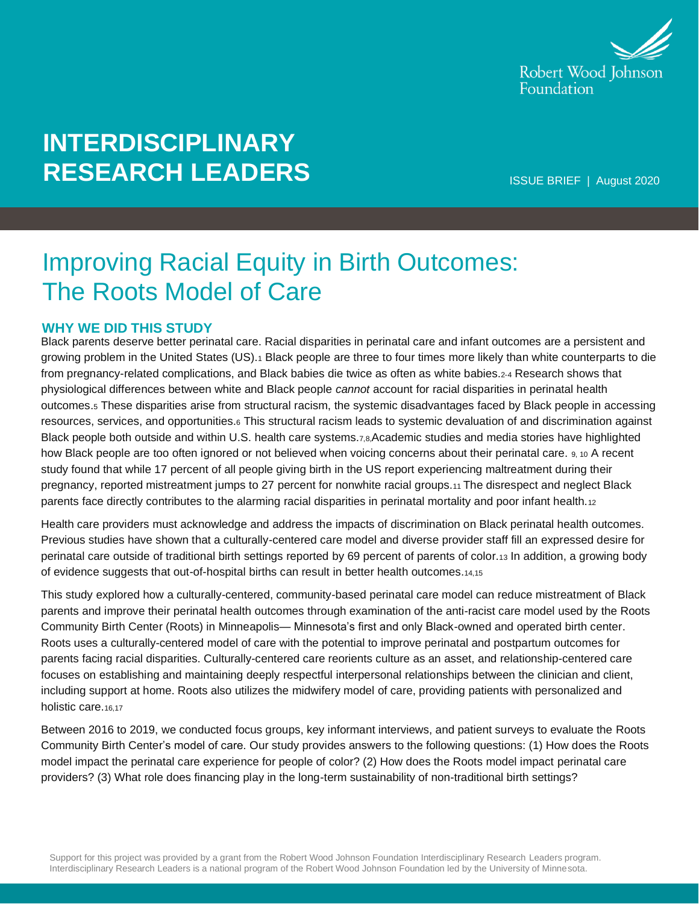

# **INTERDISCIPLINARY RESEARCH LEADERS**

ISSUE BRIEF | August 2020

# Improving Racial Equity in Birth Outcomes: The Roots Model of Care

## **WHY WE DID THIS STUDY**

Black parents deserve better perinatal care. Racial disparities in perinatal care and infant outcomes are a persistent and growing problem in the United States (US).<sup>1</sup> Black people are three to four times more likely than white counterparts to die from pregnancy-related complications, and Black babies die twice as often as white babies.2-4 Research shows that physiological differences between white and Black people *cannot* account for racial disparities in perinatal health outcomes.<sup>5</sup> These disparities arise from structural racism, the systemic disadvantages faced by Black people in accessing resources, services, and opportunities.<sup>6</sup> This structural racism leads to systemic devaluation of and discrimination against Black people both outside and within U.S. health care systems.7,8,Academic studies and media stories have highlighted how Black people are too often ignored or not believed when voicing concerns about their perinatal care. 9, 10 A recent study found that while 17 percent of all people giving birth in the US report experiencing maltreatment during their pregnancy, reported mistreatment jumps to 27 percent for nonwhite racial groups.<sup>11</sup> The disrespect and neglect Black parents face directly contributes to the alarming racial disparities in perinatal mortality and poor infant health.<sup>12</sup>

Health care providers must acknowledge and address the impacts of discrimination on Black perinatal health outcomes. Previous studies have shown that a culturally-centered care model and diverse provider staff fill an expressed desire for perinatal care outside of traditional birth settings reported by 69 percent of parents of color.<sup>13</sup> In addition, a growing body of evidence suggests that out-of-hospital births can result in better health outcomes.14,15

This study explored how a culturally-centered, community-based perinatal care model can reduce mistreatment of Black parents and improve their perinatal health outcomes through examination of the anti-racist care model used by the Roots Community Birth Center (Roots) in Minneapolis— Minnesota's first and only Black-owned and operated birth center. Roots uses a culturally-centered model of care with the potential to improve perinatal and postpartum outcomes for parents facing racial disparities. Culturally-centered care reorients culture as an asset, and relationship-centered care focuses on establishing and maintaining deeply respectful interpersonal relationships between the clinician and client, including support at home. Roots also utilizes the midwifery model of care, providing patients with personalized and holistic care.16,17

Between 2016 to 2019, we conducted focus groups, key informant interviews, and patient surveys to evaluate the Roots Community Birth Center's model of care. Our study provides answers to the following questions: (1) How does the Roots model impact the perinatal care experience for people of color? (2) How does the Roots model impact perinatal care providers? (3) What role does financing play in the long-term sustainability of non-traditional birth settings?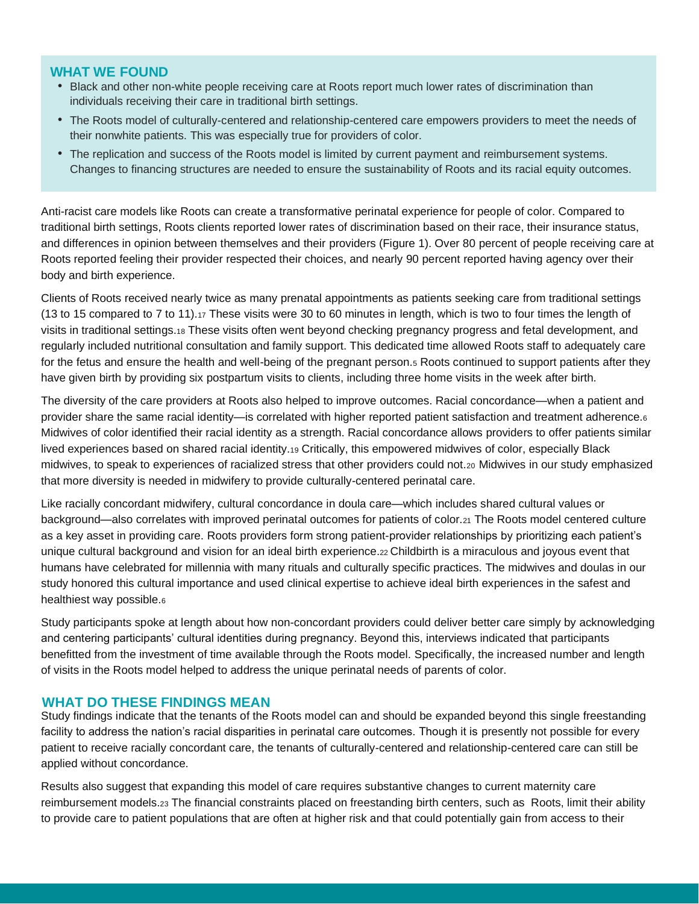## **WHAT WE FOUND**

- Black and other non-white people receiving care at Roots report much lower rates of discrimination than individuals receiving their care in traditional birth settings.
- The Roots model of culturally-centered and relationship-centered care empowers providers to meet the needs of their nonwhite patients. This was especially true for providers of color.
- The replication and success of the Roots model is limited by current payment and reimbursement systems. Changes to financing structures are needed to ensure the sustainability of Roots and its racial equity outcomes.

Anti-racist care models like Roots can create a transformative perinatal experience for people of color. Compared to traditional birth settings, Roots clients reported lower rates of discrimination based on their race, their insurance status, and differences in opinion between themselves and their providers (Figure 1). Over 80 percent of people receiving care at Roots reported feeling their provider respected their choices, and nearly 90 percent reported having agency over their body and birth experience.

Clients of Roots received nearly twice as many prenatal appointments as patients seeking care from traditional settings (13 to 15 compared to 7 to 11).<sup>17</sup> These visits were 30 to 60 minutes in length, which is two to four times the length of visits in traditional settings.<sup>18</sup> These visits often went beyond checking pregnancy progress and fetal development, and regularly included nutritional consultation and family support. This dedicated time allowed Roots staff to adequately care for the fetus and ensure the health and well-being of the pregnant person.<sup>5</sup> Roots continued to support patients after they have given birth by providing six postpartum visits to clients, including three home visits in the week after birth.

The diversity of the care providers at Roots also helped to improve outcomes. Racial concordance—when a patient and provider share the same racial identity—is correlated with higher reported patient satisfaction and treatment adherence.<sup>6</sup> Midwives of color identified their racial identity as a strength. Racial concordance allows providers to offer patients similar lived experiences based on shared racial identity.<sup>19</sup> Critically, this empowered midwives of color, especially Black midwives, to speak to experiences of racialized stress that other providers could not.20 Midwives in our study emphasized that more diversity is needed in midwifery to provide culturally-centered perinatal care.

Like racially concordant midwifery, cultural concordance in doula care—which includes shared cultural values or background—also correlates with improved perinatal outcomes for patients of color.<sup>21</sup> The Roots model centered culture as a key asset in providing care. Roots providers form strong patient-provider relationships by prioritizing each patient's unique cultural background and vision for an ideal birth experience.22 Childbirth is a miraculous and joyous event that humans have celebrated for millennia with many rituals and culturally specific practices. The midwives and doulas in our study honored this cultural importance and used clinical expertise to achieve ideal birth experiences in the safest and healthiest way possible.<sup>6</sup>

Study participants spoke at length about how non-concordant providers could deliver better care simply by acknowledging and centering participants' cultural identities during pregnancy. Beyond this, interviews indicated that participants benefitted from the investment of time available through the Roots model. Specifically, the increased number and length of visits in the Roots model helped to address the unique perinatal needs of parents of color.

## **WHAT DO THESE FINDINGS MEAN**

Study findings indicate that the tenants of the Roots model can and should be expanded beyond this single freestanding facility to address the nation's racial disparities in perinatal care outcomes. Though it is presently not possible for every patient to receive racially concordant care, the tenants of culturally-centered and relationship-centered care can still be applied without concordance.

Results also suggest that expanding this model of care requires substantive changes to current maternity care reimbursement models.<sup>23</sup> The financial constraints placed on freestanding birth centers, such as Roots, limit their ability to provide care to patient populations that are often at higher risk and that could potentially gain from access to their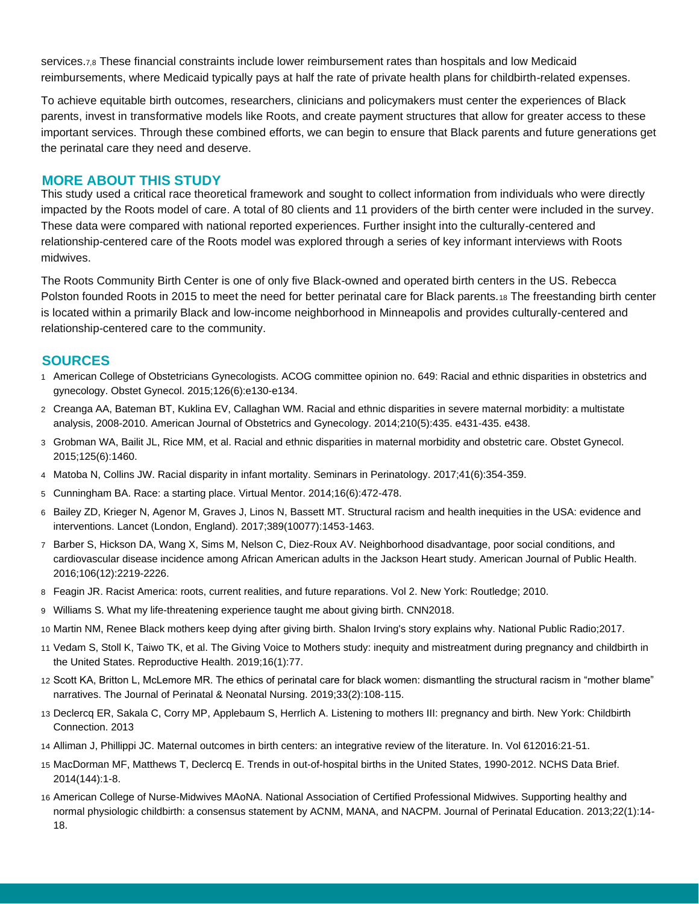services.<sub>7,8</sub> These financial constraints include lower reimbursement rates than hospitals and low Medicaid reimbursements, where Medicaid typically pays at half the rate of private health plans for childbirth-related expenses.

To achieve equitable birth outcomes, researchers, clinicians and policymakers must center the experiences of Black parents, invest in transformative models like Roots, and create payment structures that allow for greater access to these important services. Through these combined efforts, we can begin to ensure that Black parents and future generations get the perinatal care they need and deserve.

#### **MORE ABOUT THIS STUDY**

This study used a critical race theoretical framework and sought to collect information from individuals who were directly impacted by the Roots model of care. A total of 80 clients and 11 providers of the birth center were included in the survey. These data were compared with national reported experiences. Further insight into the culturally-centered and relationship-centered care of the Roots model was explored through a series of key informant interviews with Roots midwives.

The Roots Community Birth Center is one of only five Black-owned and operated birth centers in the US. Rebecca Polston founded Roots in 2015 to meet the need for better perinatal care for Black parents.<sup>18</sup> The freestanding birth center is located within a primarily Black and low-income neighborhood in Minneapolis and provides culturally-centered and relationship-centered care to the community.

#### **SOURCES**

- 1 American College of Obstetricians Gynecologists. ACOG committee opinion no. 649: Racial and ethnic disparities in obstetrics and gynecology. Obstet Gynecol. 2015;126(6):e130-e134.
- 2 Creanga AA, Bateman BT, Kuklina EV, Callaghan WM. Racial and ethnic disparities in severe maternal morbidity: a multistate analysis, 2008-2010. American Journal of Obstetrics and Gynecology. 2014;210(5):435. e431-435. e438.
- 3 Grobman WA, Bailit JL, Rice MM, et al. Racial and ethnic disparities in maternal morbidity and obstetric care. Obstet Gynecol. 2015;125(6):1460.
- 4 Matoba N, Collins JW. Racial disparity in infant mortality. Seminars in Perinatology. 2017;41(6):354-359.
- 5 Cunningham BA. Race: a starting place. Virtual Mentor. 2014;16(6):472-478.
- 6 Bailey ZD, Krieger N, Agenor M, Graves J, Linos N, Bassett MT. Structural racism and health inequities in the USA: evidence and interventions. Lancet (London, England). 2017;389(10077):1453-1463.
- 7 Barber S, Hickson DA, Wang X, Sims M, Nelson C, Diez-Roux AV. Neighborhood disadvantage, poor social conditions, and cardiovascular disease incidence among African American adults in the Jackson Heart study. American Journal of Public Health. 2016;106(12):2219-2226.
- 8 Feagin JR. Racist America: roots, current realities, and future reparations. Vol 2. New York: Routledge; 2010.
- 9 Williams S. What my life-threatening experience taught me about giving birth. CNN2018.
- 10 Martin NM, Renee Black mothers keep dying after giving birth. Shalon Irving's story explains why. National Public Radio;2017.
- 11 Vedam S, Stoll K, Taiwo TK, et al. The Giving Voice to Mothers study: inequity and mistreatment during pregnancy and childbirth in the United States. Reproductive Health. 2019;16(1):77.
- 12 Scott KA, Britton L, McLemore MR. The ethics of perinatal care for black women: dismantling the structural racism in "mother blame" narratives. The Journal of Perinatal & Neonatal Nursing. 2019;33(2):108-115.
- 13 Declercq ER, Sakala C, Corry MP, Applebaum S, Herrlich A. Listening to mothers III: pregnancy and birth. New York: Childbirth Connection. 2013
- 14 Alliman J, Phillippi JC. Maternal outcomes in birth centers: an integrative review of the literature. In. Vol 612016:21-51.
- 15 MacDorman MF, Matthews T, Declercq E. Trends in out-of-hospital births in the United States, 1990-2012. NCHS Data Brief. 2014(144):1-8.
- 16 American College of Nurse-Midwives MAoNA. National Association of Certified Professional Midwives. Supporting healthy and normal physiologic childbirth: a consensus statement by ACNM, MANA, and NACPM. Journal of Perinatal Education. 2013;22(1):14- 18.